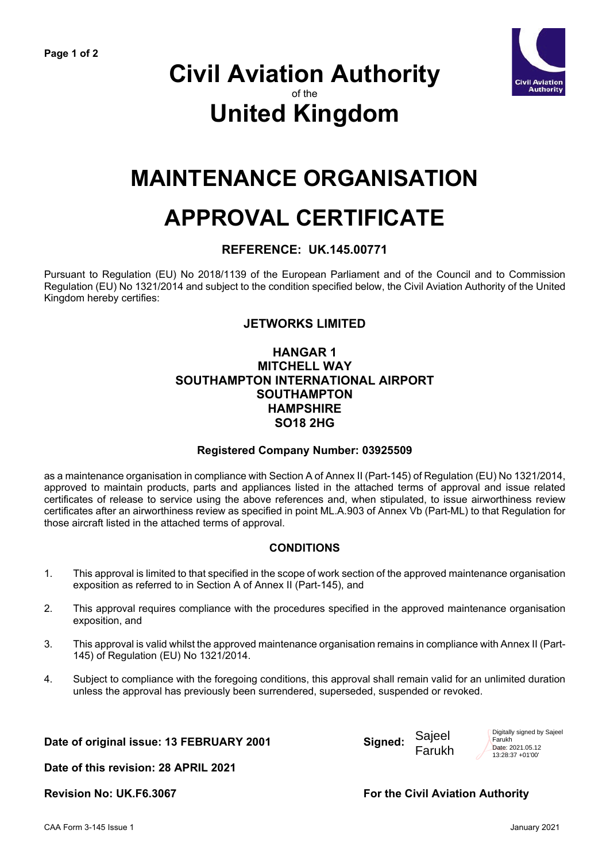

### **Civil Aviation Authority** of the **United Kingdom**

## **MAINTENANCE ORGANISATION**

# **APPROVAL CERTIFICATE**

#### **REFERENCE: UK.145.00771**

Pursuant to Regulation (EU) No 2018/1139 of the European Parliament and of the Council and to Commission Regulation (EU) No 1321/2014 and subject to the condition specified below, the Civil Aviation Authority of the United Kingdom hereby certifies:

#### **JETWORKS LIMITED**

#### **HANGAR 1 MITCHELL WAY SOUTHAMPTON INTERNATIONAL AIRPORT SOUTHAMPTON HAMPSHIRE SO18 2HG**

#### **Registered Company Number: 03925509**

as a maintenance organisation in compliance with Section A of Annex II (Part-145) of Regulation (EU) No 1321/2014, approved to maintain products, parts and appliances listed in the attached terms of approval and issue related certificates of release to service using the above references and, when stipulated, to issue airworthiness review certificates after an airworthiness review as specified in point ML.A.903 of Annex Vb (Part-ML) to that Regulation for those aircraft listed in the attached terms of approval.

#### **CONDITIONS**

- 1. This approval is limited to that specified in the scope of work section of the approved maintenance organisation exposition as referred to in Section A of Annex II (Part-145), and
- 2. This approval requires compliance with the procedures specified in the approved maintenance organisation exposition, and
- 3. This approval is valid whilst the approved maintenance organisation remains in compliance with Annex II (Part-145) of Regulation (EU) No 1321/2014.
- 4. Subject to compliance with the foregoing conditions, this approval shall remain valid for an unlimited duration unless the approval has previously been surrendered, superseded, suspended or revoked.

**Date of original issue: 13 FEBRUARY 2001 Signed:**



Digitally signed by Sajeel Farukh Date: 2021.05.12 13:28:37 +01'00'

**Date of this revision: 28 APRIL 2021** 

**Revision No: UK.F6.3067 For the Civil Aviation Authority**